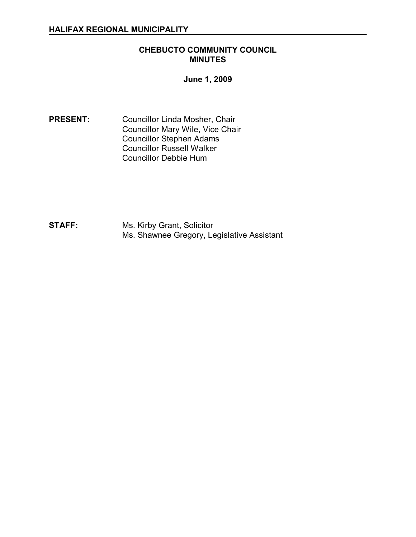### **CHEBUCTO COMMUNITY COUNCIL MINUTES**

**June 1, 2009** 

**PRESENT:** Councillor Linda Mosher, Chair Councillor Mary Wile, Vice Chair Councillor Stephen Adams Councillor Russell Walker Councillor Debbie Hum

**STAFF:** Ms. Kirby Grant, Solicitor Ms. Shawnee Gregory, Legislative Assistant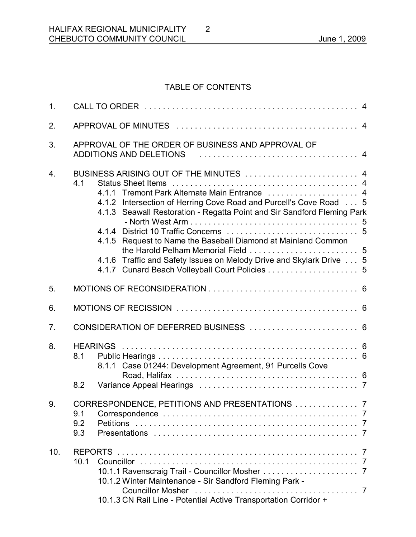# TABLE OF CONTENTS

2

| 1.               |                                                                                                                                                                                                                                                                                                                                                                                                                                          |
|------------------|------------------------------------------------------------------------------------------------------------------------------------------------------------------------------------------------------------------------------------------------------------------------------------------------------------------------------------------------------------------------------------------------------------------------------------------|
| 2.               |                                                                                                                                                                                                                                                                                                                                                                                                                                          |
| 3.               | APPROVAL OF THE ORDER OF BUSINESS AND APPROVAL OF<br><b>ADDITIONS AND DELETIONS</b>                                                                                                                                                                                                                                                                                                                                                      |
| $\overline{4}$ . | BUSINESS ARISING OUT OF THE MINUTES  4<br>4.1<br>4.1.1 Tremont Park Alternate Main Entrance  4<br>4.1.2 Intersection of Herring Cove Road and Purcell's Cove Road 5<br>4.1.3 Seawall Restoration - Regatta Point and Sir Sandford Fleming Park<br>4.1.5 Request to Name the Baseball Diamond at Mainland Common<br>4.1.6 Traffic and Safety Issues on Melody Drive and Skylark Drive 5<br>4.1.7 Cunard Beach Volleyball Court Policies 5 |
| 5.               |                                                                                                                                                                                                                                                                                                                                                                                                                                          |
| 6.               |                                                                                                                                                                                                                                                                                                                                                                                                                                          |
| 7.               |                                                                                                                                                                                                                                                                                                                                                                                                                                          |
| 8.               | 8.1<br>8.1.1 Case 01244: Development Agreement, 91 Purcells Cove<br>8.2                                                                                                                                                                                                                                                                                                                                                                  |
| 9.               | CORRESPONDENCE, PETITIONS AND PRESENTATIONS  7<br>9.1<br>9.2<br>9.3                                                                                                                                                                                                                                                                                                                                                                      |
| 10.              | <b>REPORTS</b><br>10.1<br>10.1.2 Winter Maintenance - Sir Sandford Fleming Park -<br><b>Councillor Mosher</b><br>10.1.3 CN Rail Line - Potential Active Transportation Corridor +                                                                                                                                                                                                                                                        |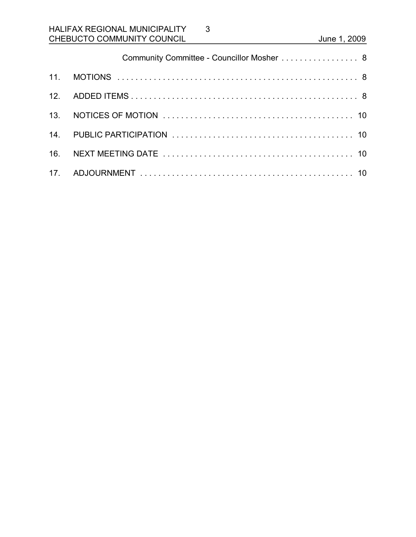|                 | Community Committee - Councillor Mosher 8 |  |
|-----------------|-------------------------------------------|--|
| 11 <sub>1</sub> |                                           |  |
|                 |                                           |  |
| 13.             |                                           |  |
|                 |                                           |  |
| 16.             |                                           |  |
| 17 <sub>1</sub> |                                           |  |

3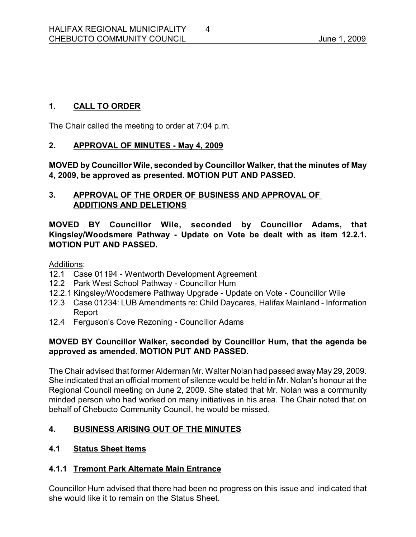# **1. CALL TO ORDER**

The Chair called the meeting to order at 7:04 p.m.

### 2. **APPROVAL OF MINUTES - May 4, 2009**

**MOVED by Councillor Wile, seconded by Councillor Walker, that the minutes of May 4, 2009, be approved as presented. MOTION PUT AND PASSED.** 

## **3. APPROVAL OF THE ORDER OF BUSINESS AND APPROVAL OF ADDITIONS AND DELETIONS**

**MOVED BY Councillor Wile, seconded by Councillor Adams, that Kingsley/Woodsmere Pathway Update on Vote be dealt with as item 12.2.1. MOTION PUT AND PASSED.**

Additions:

- 12.1 Case 01194 Wentworth Development Agreement
- 12.2 Park West School Pathway Councillor Hum
- 12.2.1 Kingsley/Woodsmere Pathway Upgrade Update on Vote Councillor Wile
- 12.3 Case 01234: LUB Amendments re: Child Daycares, Halifax Mainland Information Report
- 12.4 Ferguson's Cove Rezoning Councillor Adams

# **MOVED BY Councillor Walker, seconded by Councillor Hum, that the agenda be approved as amended. MOTION PUT AND PASSED.**

The Chair advised that former Alderman Mr. Walter Nolan had passed away May 29, 2009. She indicated that an official moment of silence would be held in Mr. Nolan's honour at the Regional Council meeting on June 2, 2009. She stated that Mr. Nolan was a community minded person who had worked on many initiatives in his area. The Chair noted that on behalf of Chebucto Community Council, he would be missed.

# **4. BUSINESS ARISING OUT OF THE MINUTES**

# **4.1 Status Sheet Items**

# **4.1.1 Tremont Park Alternate Main Entrance**

Councillor Hum advised that there had been no progress on this issue and indicated that she would like it to remain on the Status Sheet.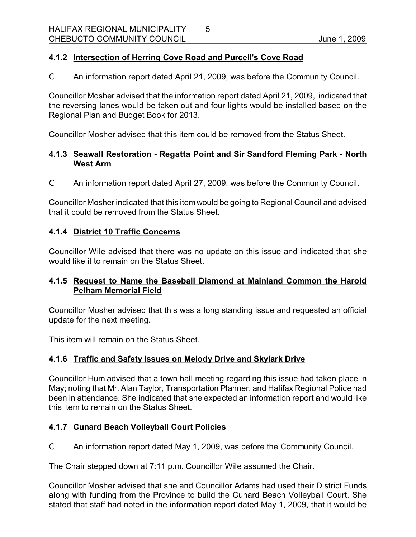## **4.1.2 Intersection of Herring Cove Road and Purcell's Cove Road**

C An information report dated April 21, 2009, was before the Community Council.

5

Councillor Mosher advised that the information report dated April 21, 2009, indicated that the reversing lanes would be taken out and four lights would be installed based on the Regional Plan and Budget Book for 2013.

Councillor Mosher advised that this item could be removed from the Status Sheet.

# **4.1.3 Seawall Restoration Regatta Point and Sir Sandford Fleming Park North West Arm**

C An information report dated April 27, 2009, was before the Community Council.

Councillor Mosher indicated that this item would be going to Regional Council and advised that it could be removed from the Status Sheet.

### **4.1.4 District 10 Traffic Concerns**

Councillor Wile advised that there was no update on this issue and indicated that she would like it to remain on the Status Sheet.

### **4.1.5 Request to Name the Baseball Diamond at Mainland Common the Harold Pelham Memorial Field**

Councillor Mosher advised that this was a long standing issue and requested an official update for the next meeting.

This item will remain on the Status Sheet.

### **4.1.6 Traffic and Safety Issues on Melody Drive and Skylark Drive**

Councillor Hum advised that a town hall meeting regarding this issue had taken place in May; noting that Mr. Alan Taylor, Transportation Planner, and Halifax Regional Police had been in attendance. She indicated that she expected an information report and would like this item to remain on the Status Sheet.

# **4.1.7 Cunard Beach Volleyball Court Policies**

C An information report dated May 1, 2009, was before the Community Council.

The Chair stepped down at 7:11 p.m. Councillor Wile assumed the Chair.

Councillor Mosher advised that she and Councillor Adams had used their District Funds along with funding from the Province to build the Cunard Beach Volleyball Court. She stated that staff had noted in the information report dated May 1, 2009, that it would be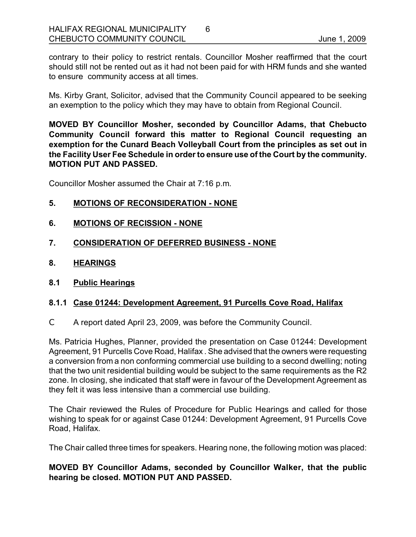contrary to their policy to restrict rentals. Councillor Mosher reaffirmed that the court should still not be rented out as it had not been paid for with HRM funds and she wanted to ensure community access at all times.

Ms. Kirby Grant, Solicitor, advised that the Community Council appeared to be seeking an exemption to the policy which they may have to obtain from Regional Council.

**MOVED BY Councillor Mosher, seconded by Councillor Adams, that Chebucto Community Council forward this matter to Regional Council requesting an exemption for the Cunard Beach Volleyball Court from the principles as set out in the Facility User Fee Schedule in order to ensure use of the Court by the community. MOTION PUT AND PASSED.**

Councillor Mosher assumed the Chair at 7:16 p.m.

### **5. MOTIONS OF RECONSIDERATION NONE**

- **6. MOTIONS OF RECISSION NONE**
- **7. CONSIDERATION OF DEFERRED BUSINESS NONE**
- **8. HEARINGS**
- **8.1 Public Hearings**

### **8.1.1 Case 01244: Development Agreement, 91 Purcells Cove Road, Halifax**

C A report dated April 23, 2009, was before the Community Council.

Ms. Patricia Hughes, Planner, provided the presentation on Case 01244: Development Agreement, 91 Purcells Cove Road, Halifax . She advised that the owners were requesting a conversion from a non conforming commercial use building to a second dwelling; noting that the two unit residential building would be subject to the same requirements as the R2 zone. In closing, she indicated that staff were in favour of the Development Agreement as they felt it was less intensive than a commercial use building.

The Chair reviewed the Rules of Procedure for Public Hearings and called for those wishing to speak for or against Case 01244: Development Agreement, 91 Purcells Cove Road, Halifax.

The Chair called three times for speakers. Hearing none, the following motion was placed:

### **MOVED BY Councillor Adams, seconded by Councillor Walker, that the public hearing be closed. MOTION PUT AND PASSED.**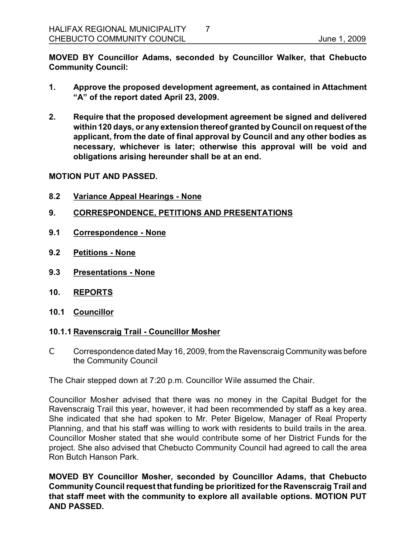**MOVED BY Councillor Adams, seconded by Councillor Walker, that Chebucto Community Council:**

- **1. Approve the proposed development agreement, as contained in Attachment "A" of the report dated April 23, 2009.**
- **2. Require that the proposed development agreement be signed and delivered within120 days, or any extension thereof granted by Council on request of the applicant, from the date of final approval by Council and any other bodies as necessary, whichever is later; otherwise this approval will be void and obligations arising hereunder shall be at an end.**

#### **MOTION PUT AND PASSED.**

- **8.2 Variance Appeal Hearings None**
- **9. CORRESPONDENCE, PETITIONS AND PRESENTATIONS**
- **9.1 Correspondence None**
- **9.2 Petitions None**
- **9.3 Presentations None**
- **10. REPORTS**
- **10.1 Councillor**

### **10.1.1 Ravenscraig Trail Councillor Mosher**

C Correspondence dated May 16, 2009, from the Ravenscraig Community was before the Community Council

The Chair stepped down at 7:20 p.m. Councillor Wile assumed the Chair.

Councillor Mosher advised that there was no money in the Capital Budget for the Ravenscraig Trail this year, however, it had been recommended by staff as a key area. She indicated that she had spoken to Mr. Peter Bigelow, Manager of Real Property Planning, and that his staff was willing to work with residents to build trails in the area. Councillor Mosher stated that she would contribute some of her District Funds for the project. She also advised that Chebucto Community Council had agreed to call the area Ron Butch Hanson Park.

**MOVED BY Councillor Mosher, seconded by Councillor Adams, that Chebucto Community Council request that funding be prioritized forthe Ravenscraig Trail and that staff meet with the community to explore all available options. MOTION PUT AND PASSED.**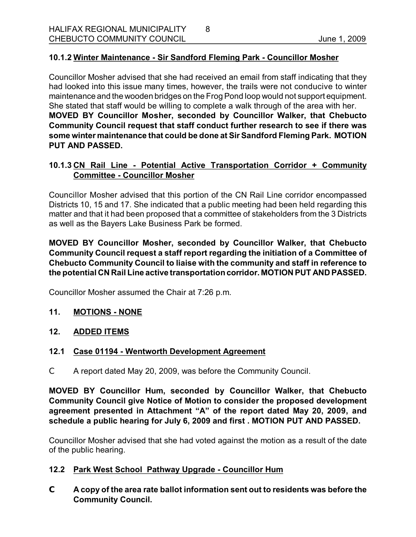## **10.1.2 Winter Maintenance - Sir Sandford Fleming Park - Councillor Mosher**

Councillor Mosher advised that she had received an email from staff indicating that they had looked into this issue many times, however, the trails were not conducive to winter maintenance and the wooden bridges on the Frog Pond loop would not support equipment. She stated that staff would be willing to complete a walk through of the area with her. **MOVED BY Councillor Mosher, seconded by Councillor Walker, that Chebucto Community Council request that staff conduct further research to see if there was some winter maintenance that could be done at Sir Sandford Fleming Park. MOTION PUT AND PASSED.** 

8

### **10.1.3 CN Rail Line Potential Active Transportation Corridor + Community Committee Councillor Mosher**

Councillor Mosher advised that this portion of the CN Rail Line corridor encompassed Districts 10, 15 and 17. She indicated that a public meeting had been held regarding this matter and that it had been proposed that a committee of stakeholders from the 3 Districts as well as the Bayers Lake Business Park be formed.

**MOVED BY Councillor Mosher, seconded by Councillor Walker, that Chebucto Community Council request a staff report regarding the initiation of a Committee of Chebucto Community Council to liaise with the community and staff in reference to the potential CN Rail Line active transportationcorridor. MOTION PUT AND PASSED.**

Councillor Mosher assumed the Chair at 7:26 p.m.

- 11. **MOTIONS NONE**
- **12. ADDED ITEMS**

### **12.1 Case 01194 Wentworth Development Agreement**

C A report dated May 20, 2009, was before the Community Council.

**MOVED BY Councillor Hum, seconded by Councillor Walker, that Chebucto Community Council give Notice of Motion to consider the proposed development agreement presented in Attachment "A" of the report dated May 20, 2009, and schedule a public hearing for July 6, 2009 and first . MOTION PUT AND PASSED.**

Councillor Mosher advised that she had voted against the motion as a result of the date of the public hearing.

### **12.2 Park West School Pathway Upgrade Councillor Hum**

**C A copy of the area rate ballot information sent out to residents was before the Community Council.**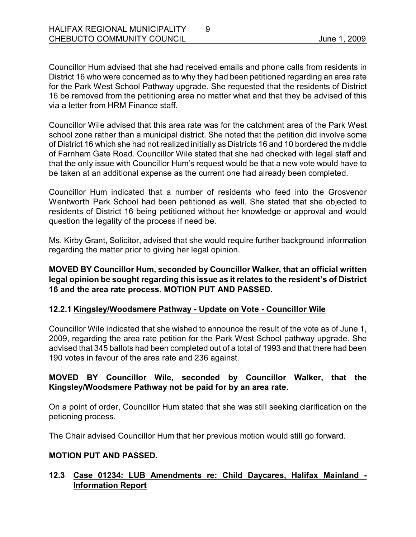Councillor Hum advised that she had received emails and phone calls from residents in District 16 who were concerned as to why they had been petitioned regarding an area rate for the Park West School Pathway upgrade. She requested that the residents of District 16 be removed from the petitioning area no matter what and that they be advised of this via a letter from HRM Finance staff.

Councillor Wile advised that this area rate was for the catchment area of the Park West school zone rather than a municipal district. She noted that the petition did involve some of District 16 which she had not realized initially as Districts 16 and 10 bordered the middle of Farnham Gate Road. Councillor Wile stated that she had checked with legal staff and that the only issue with Councillor Hum's request would be that a new vote would have to be taken at an additional expense as the current one had already been completed.

Councillor Hum indicated that a number of residents who feed into the Grosvenor Wentworth Park School had been petitioned as well. She stated that she objected to residents of District 16 being petitioned without her knowledge or approval and would question the legality of the process if need be.

Ms. Kirby Grant, Solicitor, advised that she would require further background information regarding the matter prior to giving her legal opinion.

**MOVED BY Councillor Hum, seconded by Councillor Walker, that an official written legal opinion be sought regarding this issue as it relates to the resident's of District 16 and the area rate process. MOTION PUT AND PASSED.** 

# **12.2.1 Kingsley/Woodsmere Pathway Update on Vote Councillor Wile**

Councillor Wile indicated that she wished to announce the result of the vote as of June 1, 2009, regarding the area rate petition for the Park West School pathway upgrade. She advised that 345 ballots had been completed out of a total of 1993 and that there had been 190 votes in favour of the area rate and 236 against.

### **MOVED BY Councillor Wile, seconded by Councillor Walker, that the Kingsley/Woodsmere Pathway not be paid for by an area rate.**

On a point of order, Councillor Hum stated that she was still seeking clarification on the petioning process.

The Chair advised Councillor Hum that her previous motion would still go forward.

### **MOTION PUT AND PASSED.**

# **12.3 Case 01234: LUB Amendments re: Child Daycares, Halifax Mainland Information Report**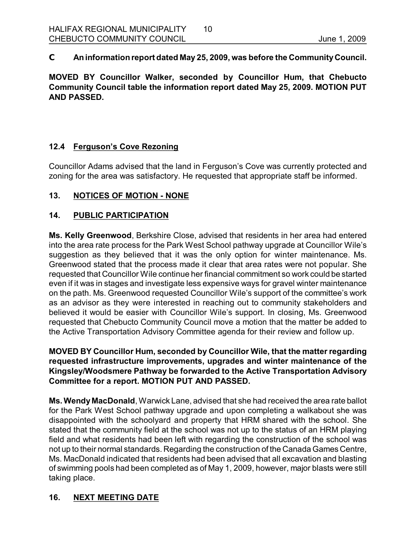**C Aninformationreport dated May 25, 2009, was before the CommunityCouncil.** 

**MOVED BY Councillor Walker, seconded by Councillor Hum, that Chebucto Community Council table the information report dated May 25, 2009. MOTION PUT AND PASSED.** 

# **12.4 Ferguson's Cove Rezoning**

Councillor Adams advised that the land in Ferguson's Cove was currently protected and zoning for the area was satisfactory. He requested that appropriate staff be informed.

# 13. NOTICES OF MOTION - NONE

# **14. PUBLIC PARTICIPATION**

**Ms. Kelly Greenwood**, Berkshire Close, advised that residents in her area had entered into the area rate process for the Park West School pathway upgrade at Councillor Wile's suggestion as they believed that it was the only option for winter maintenance. Ms. Greenwood stated that the process made it clear that area rates were not popular. She requested that Councillor Wile continue her financial commitment so work could be started even if it was in stages and investigate less expensive ways for gravel winter maintenance on the path. Ms. Greenwood requested Councillor Wile's support of the committee's work as an advisor as they were interested in reaching out to community stakeholders and believed it would be easier with Councillor Wile's support. In closing, Ms. Greenwood requested that Chebucto Community Council move a motion that the matter be added to the Active Transportation Advisory Committee agenda for their review and follow up.

## **MOVED BY Councillor Hum, seconded by Councillor Wile, that the matter regarding requested infrastructure improvements, upgrades and winter maintenance of the Kingsley/Woodsmere Pathway be forwarded to the Active Transportation Advisory Committee for a report. MOTION PUT AND PASSED.**

**Ms. Wendy MacDonald**, Warwick Lane, advised that she had received the area rate ballot for the Park West School pathway upgrade and upon completing a walkabout she was disappointed with the schoolyard and property that HRM shared with the school. She stated that the community field at the school was not up to the status of an HRM playing field and what residents had been left with regarding the construction of the school was not up to their normal standards. Regarding the construction of the Canada Games Centre, Ms. MacDonald indicated that residents had been advised that all excavation and blasting of swimming pools had been completed as of May 1, 2009, however, major blasts were still taking place.

# **16. NEXT MEETING DATE**